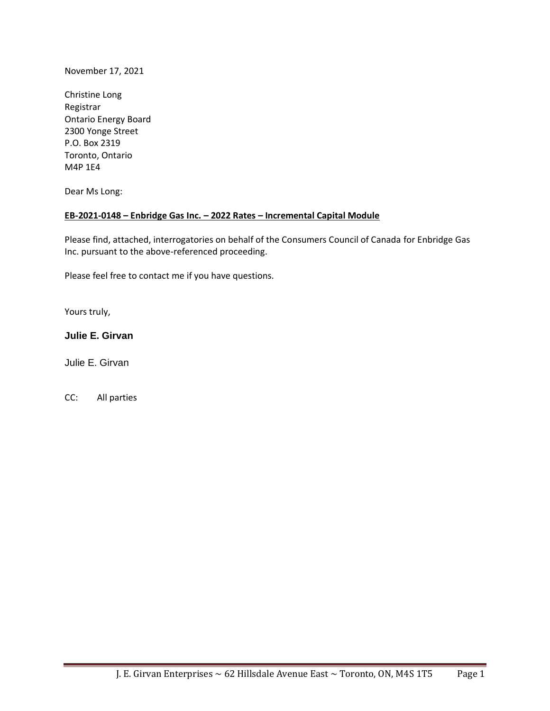November 17, 2021

Christine Long Registrar Ontario Energy Board 2300 Yonge Street P.O. Box 2319 Toronto, Ontario M4P 1E4

Dear Ms Long:

#### **EB-2021-0148 – Enbridge Gas Inc. – 2022 Rates – Incremental Capital Module**

Please find, attached, interrogatories on behalf of the Consumers Council of Canada for Enbridge Gas Inc. pursuant to the above-referenced proceeding.

Please feel free to contact me if you have questions.

Yours truly,

# **Julie E. Girvan**

Julie E. Girvan

CC: All parties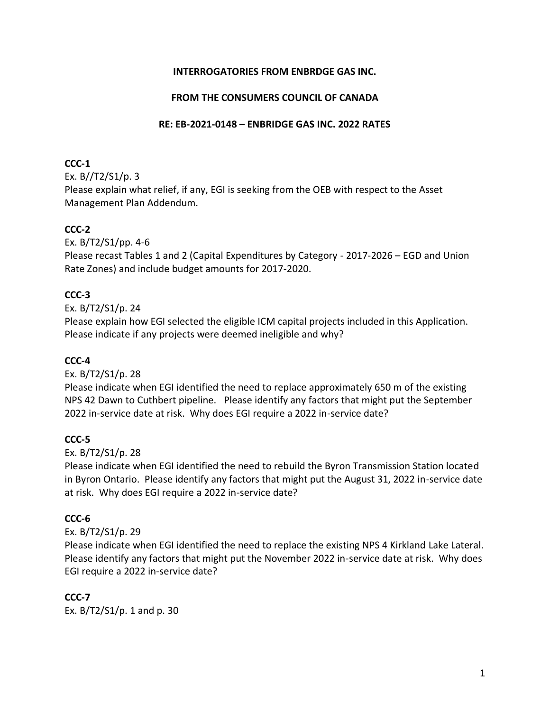# **INTERROGATORIES FROM ENBRDGE GAS INC.**

### **FROM THE CONSUMERS COUNCIL OF CANADA**

#### **RE: EB-2021-0148 – ENBRIDGE GAS INC. 2022 RATES**

### **CCC-1**

Ex. B//T2/S1/p. 3

Please explain what relief, if any, EGI is seeking from the OEB with respect to the Asset Management Plan Addendum.

# **CCC-2**

Ex. B/T2/S1/pp. 4-6

Please recast Tables 1 and 2 (Capital Expenditures by Category - 2017-2026 – EGD and Union Rate Zones) and include budget amounts for 2017-2020.

# **CCC-3**

Ex. B/T2/S1/p. 24

Please explain how EGI selected the eligible ICM capital projects included in this Application. Please indicate if any projects were deemed ineligible and why?

# **CCC-4**

Ex. B/T2/S1/p. 28

Please indicate when EGI identified the need to replace approximately 650 m of the existing NPS 42 Dawn to Cuthbert pipeline. Please identify any factors that might put the September 2022 in-service date at risk. Why does EGI require a 2022 in-service date?

# **CCC-5**

Ex. B/T2/S1/p. 28

Please indicate when EGI identified the need to rebuild the Byron Transmission Station located in Byron Ontario. Please identify any factors that might put the August 31, 2022 in-service date at risk. Why does EGI require a 2022 in-service date?

# **CCC-6**

Ex. B/T2/S1/p. 29

Please indicate when EGI identified the need to replace the existing NPS 4 Kirkland Lake Lateral. Please identify any factors that might put the November 2022 in-service date at risk. Why does EGI require a 2022 in-service date?

# **CCC-7**

Ex. B/T2/S1/p. 1 and p. 30